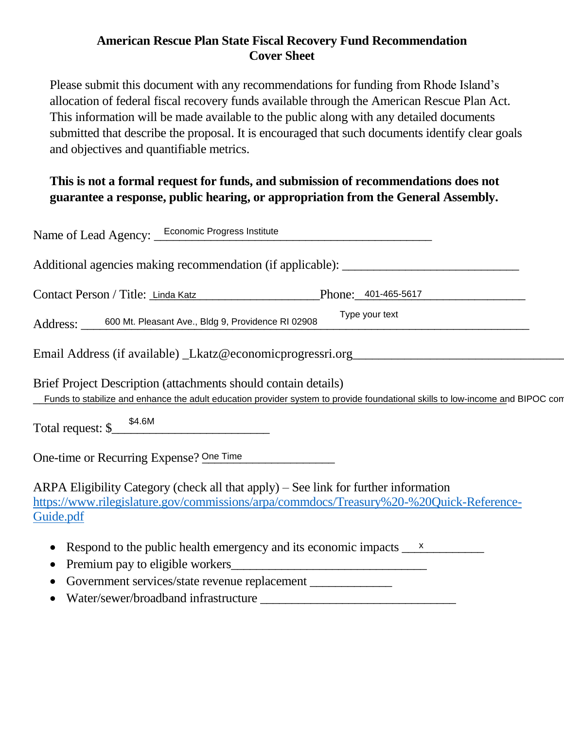## **American Rescue Plan State Fiscal Recovery Fund Recommendation Cover Sheet**

Please submit this document with any recommendations for funding from Rhode Island's allocation of federal fiscal recovery funds available through the American Rescue Plan Act. This information will be made available to the public along with any detailed documents submitted that describe the proposal. It is encouraged that such documents identify clear goals and objectives and quantifiable metrics.

# **This is not a formal request for funds, and submission of recommendations does not guarantee a response, public hearing, or appropriation from the General Assembly.**

| Name of Lead Agency: <b>Economic Progress Institute</b>                                                                                                                                         |
|-------------------------------------------------------------------------------------------------------------------------------------------------------------------------------------------------|
| Additional agencies making recommendation (if applicable): ______________________                                                                                                               |
| Contact Person / Title: Linda Katz Phone: 401-465-5617                                                                                                                                          |
| Type your text<br>Address: 600 Mt. Pleasant Ave., Bldg 9, Providence RI 02908                                                                                                                   |
| Email Address (if available) _Lkatz@economicprogressri.org                                                                                                                                      |
| Brief Project Description (attachments should contain details)<br>Funds to stabilize and enhance the adult education provider system to provide foundational skills to low-income and BIPOC com |
| Total request: $\frac{$4.6M}{2}$                                                                                                                                                                |
| One-time or Recurring Expense? One Time                                                                                                                                                         |
| ARPA Eligibility Category (check all that apply) $-$ See link for further information<br>https://www.rilegislature.gov/commissions/arpa/commdocs/Treasury%20-%20Quick-Reference-<br>Guide.pdf   |
| Respond to the public health emergency and its economic impacts $\frac{\mathsf{x}}{\mathsf{x}}$<br>Premium pay to eligible workers                                                              |

- Government services/state revenue replacement \_\_\_\_\_\_\_\_\_\_\_\_\_
- Water/sewer/broadband infrastructure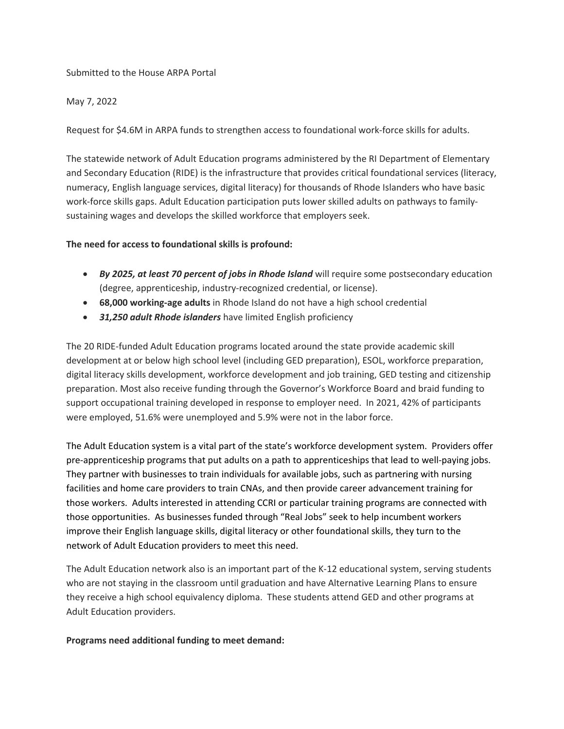### Submitted to the House ARPA Portal

#### May 7, 2022

Request for \$4.6M in ARPA funds to strengthen access to foundational work-force skills for adults.

The statewide network of Adult Education programs administered by the RI Department of Elementary and Secondary Education (RIDE) is the infrastructure that provides critical foundational services (literacy, numeracy, English language services, digital literacy) for thousands of Rhode Islanders who have basic work-force skills gaps. Adult Education participation puts lower skilled adults on pathways to familysustaining wages and develops the skilled workforce that employers seek.

### **The need for access to foundational skills is profound:**

- *By 2025, at least 70 percent of jobs in Rhode Island* will require some postsecondary education (degree, apprenticeship, industry-recognized credential, or license).
- **68,000 working-age adults** in Rhode Island do not have a high school credential
- *31,250 adult Rhode islanders* have limited English proficiency

The 20 RIDE-funded Adult Education programs located around the state provide academic skill development at or below high school level (including GED preparation), ESOL, workforce preparation, digital literacy skills development, workforce development and job training, GED testing and citizenship preparation. Most also receive funding through the Governor's Workforce Board and braid funding to support occupational training developed in response to employer need. In 2021, 42% of participants were employed, 51.6% were unemployed and 5.9% were not in the labor force.

The Adult Education system is a vital part of the state's workforce development system. Providers offer pre-apprenticeship programs that put adults on a path to apprenticeships that lead to well-paying jobs. They partner with businesses to train individuals for available jobs, such as partnering with nursing facilities and home care providers to train CNAs, and then provide career advancement training for those workers. Adults interested in attending CCRI or particular training programs are connected with those opportunities. As businesses funded through "Real Jobs" seek to help incumbent workers improve their English language skills, digital literacy or other foundational skills, they turn to the network of Adult Education providers to meet this need.

The Adult Education network also is an important part of the K-12 educational system, serving students who are not staying in the classroom until graduation and have Alternative Learning Plans to ensure they receive a high school equivalency diploma. These students attend GED and other programs at Adult Education providers.

#### **Programs need additional funding to meet demand:**